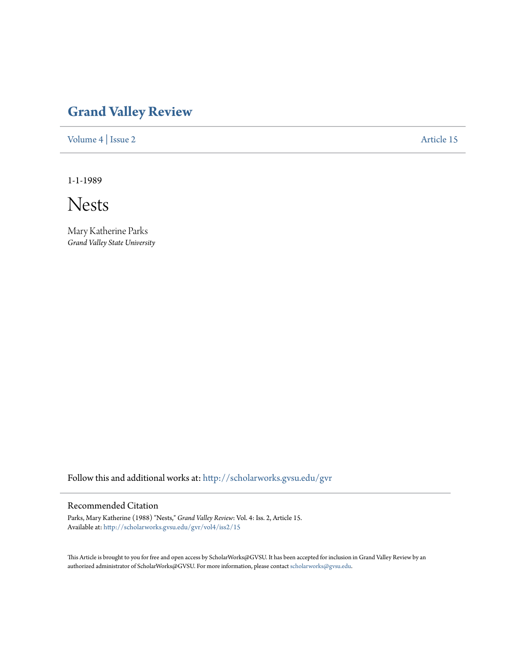## **[Grand Valley Review](http://scholarworks.gvsu.edu/gvr?utm_source=scholarworks.gvsu.edu%2Fgvr%2Fvol4%2Fiss2%2F15&utm_medium=PDF&utm_campaign=PDFCoverPages)**

[Volume 4](http://scholarworks.gvsu.edu/gvr/vol4?utm_source=scholarworks.gvsu.edu%2Fgvr%2Fvol4%2Fiss2%2F15&utm_medium=PDF&utm_campaign=PDFCoverPages) | [Issue 2](http://scholarworks.gvsu.edu/gvr/vol4/iss2?utm_source=scholarworks.gvsu.edu%2Fgvr%2Fvol4%2Fiss2%2F15&utm_medium=PDF&utm_campaign=PDFCoverPages) [Article 15](http://scholarworks.gvsu.edu/gvr/vol4/iss2/15?utm_source=scholarworks.gvsu.edu%2Fgvr%2Fvol4%2Fiss2%2F15&utm_medium=PDF&utm_campaign=PDFCoverPages)

1-1-1989

Nests

Mary Katherine Parks *Grand Valley State University*

Follow this and additional works at: [http://scholarworks.gvsu.edu/gvr](http://scholarworks.gvsu.edu/gvr?utm_source=scholarworks.gvsu.edu%2Fgvr%2Fvol4%2Fiss2%2F15&utm_medium=PDF&utm_campaign=PDFCoverPages)

## Recommended Citation

Parks, Mary Katherine (1988) "Nests," *Grand Valley Review*: Vol. 4: Iss. 2, Article 15. Available at: [http://scholarworks.gvsu.edu/gvr/vol4/iss2/15](http://scholarworks.gvsu.edu/gvr/vol4/iss2/15?utm_source=scholarworks.gvsu.edu%2Fgvr%2Fvol4%2Fiss2%2F15&utm_medium=PDF&utm_campaign=PDFCoverPages)

This Article is brought to you for free and open access by ScholarWorks@GVSU. It has been accepted for inclusion in Grand Valley Review by an authorized administrator of ScholarWorks@GVSU. For more information, please contact [scholarworks@gvsu.edu.](mailto:scholarworks@gvsu.edu)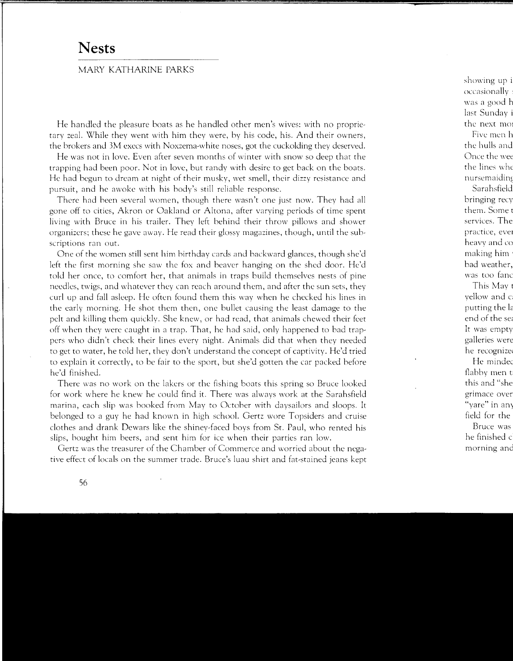## **Nests**

## MARY KATHARINE PARKS

He handled the pleasure boats as he handled other men's wives: with no proprietary zeal. While they went with him they were, by his code, his. And their owners, the brokers and 3M execs with Noxzema-white noses, got the cuckolding they deserved.

He was not in love. Even after seven months of winter with snow so deep that the trapping had been poor. Not in love, but randy with desire to get back on the boats. He had begun to dream at night of their musky, wet smell, their dizzy resistance and pursuit, and he awoke with his body's still reliable response.

There had been several women, though there wasn't one just now. They had all gone off to cities, Akron or Oakland or Altona, after varying periods of time spent living with Bruce in his trailer. They left behind their throw pillows and shower organizers; these he gave away. He read their glossy magazines, though, until the subscriptions ran out.

One of the women still sent him birthday cards and backward glances, though she'd left the first morning she saw the fox and beaver hanging on the shed door. He'd told her once, to comfort her, that animals in traps build themselves nests of pine needles, twigs, and whatever they can reach around them, and after the sun sets, they curl up and fall asleep. He often found them this way when he checked his lines in the early morning. He shot them then, one bullet causing the least damage to the pelt and killing them quickly. She knew, or had read, that animals chewed their feet off when they were caught in a trap. That, he had said, only happened to bad trappers who didn't check their lines every night. Animals did that when they needed to get to water, he told her, they don't understand the concept of captivity. He'd tried to explain it correctly, to he fair to the sport, but she'd gotten the car packed before he'd finished.

There was no work on the lakers or the fishing boats this spring so Bruce looked for work where he knew he could find it. There was always work at the Sarahsfield marina, each slip was hooked from May to October with daysailors and sloops. It belonged to a guy he had known in high school. Gertz wore Topsiders and cruise clothes and drank Dewars like the shiney-faced boys from St. Paul, who rented his slips, bought him beers, and sent him for ice when their parties ran low.

Gertz was the treasurer of the Chamber of Commerce and worried about the negative effect of locals on the summer trade. Bruce's luau shirt and fat-stained jeans kept

56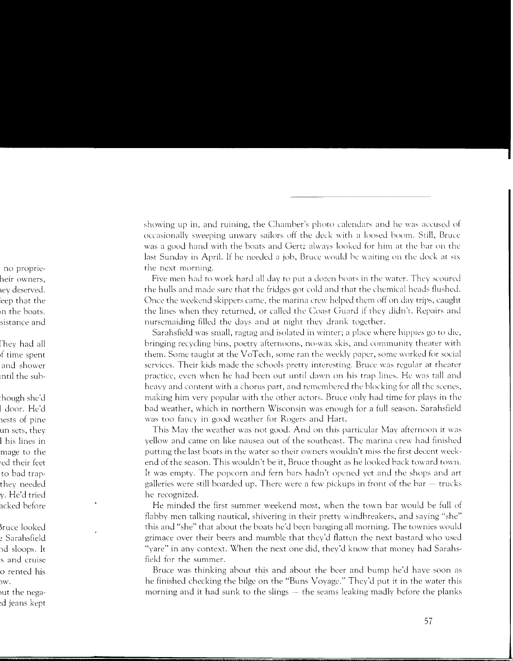showing up in, and ruining, the Chamber's photo calendars and he was accused of occasionally sweeping unwary sailors off the deck with a loosed boom. Still, Bruce was a good hand with the boats and Gertz always looked for him at the bar on the last Sunday in April. If he needed a job, Bruce would be waiting on the dock at six the next morning.

Five men had to work hard all day to put a dozen boats in the water. They scoured the hulls and made sure that the fridges got cold and that the chemical heads flushed. Once the weekend skippers came, the marina crew helped them off on day trips, caught the lines \\hen they returned, or called the Coast Guard if they didn't. Repairs and nurscmaiding filled the days and at night they drank together.

Sarahsficld was small, ragtag and isolated in winter; a place where hippies go to die, bringing recycling bins, poetry afternoons, no-wax skis, and community theater \\'ith them. Some taught at the VoTech, some ran the weekly paper, some worked for social services. Their kids made the schools pretty interesting. Bruce was regular at theater practice, even when he had been out until dawn on his trap lines. He was tall and heavy and content with a chorus part, and remembered the blocking for all the scenes, making him very popular with the other actors. Bruce only had time for plays in the bad weather, which in northern Wisconsin was enough for a full season. Sarahsfield was too fancy in good weather for Rogers and Hart.

This May the weather was not good. And on this particular May afternoon it was yellow and came on like nausea out of the southeast. The marina crew had finished putting the last boats in the water so their owners wouldn't miss the first decent weekend of the season. This wouldn't be it, Bruce thought as he looked hack toward town. It was empty. The popcorn and fern bars hadn't opened yet and the shops and art galleries were still boarded up. There were a few pickups in front of the bar  $-$  trucks he recognized.

He minded the first summer weekend most, when the town bar would be full of flabby men talking nautical, shivering in their pretty windbreakers, and saying "she" this and "she" that about the boats he'd been hanging all morning. The townies would grimace over their beers and mumble that they'd flatten the next bastard who used "yare" in any context. When the next one did, they'd know that money had Sarahsfield for the summer.

Bruce was thinking about this and about the beer and bump he'd have soon as he finished checking the bilge on the "Buns Voyage." They'd put it in the water this morning and it had sunk to the slings  $-$  the seams leaking madly before the planks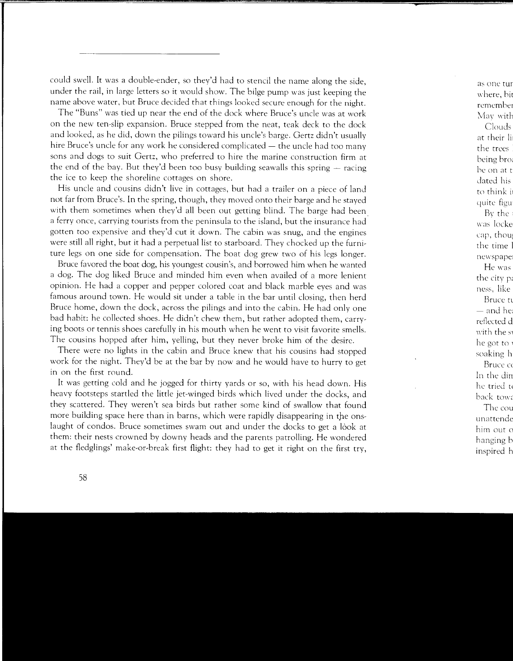could swell. It was a double-ender, so they'd had to stencil the name along the side, under the rail, in large letters so it would show. The bilge pump was just keeping the name above water, but Bruce decided that things looked secure enough for the night.

The "Buns" was tied up ncar the end of the dock where Bruce's uncle was at work on the new ten-slip expansion. Bruce stepped from the neat, teak deck to the dock and looked, as he did, down the pilings toward his uncle's barge. Gertz didn't usually hire Bruce's uncle for any work he considered complicated  $-$  the uncle had too many sons and dogs to suit Gertz, who preferred to hire the marine construction firm at the end of the bay. But they'd been too busy building seawalls this spring  $-$  racing the ice to keep the shoreline cottages on shore.

His uncle and cousins didn't live in cottages, but had a trailer on a piece of land not far from Bruce's. In the spring, though, they moved onto their barge and he stayed with them sometimes when they'd all been out getting blind. The barge had been. a ferry once, carrying tourists from the peninsula to the island, but the insurance had gotten too expensive and they'd cut it down. The cabin was snug, and the engines were still all right, but it had a perpetual list to starboard. They chocked up the furniture legs on one side for compensation. The boat dog grew two of his legs longer.

Bruce favored the boat dog, his youngest cousin's, and borrowed him when he wanted a dog. The dog liked Bruce and minded him even when availed of a more lenient opinion. He had a copper and pepper colored coat and black marble eyes and was famous around town. He would sit under a table in the bar until closing, then herd Bruce home, down the dock, across the pilings and into the cabin. He had only one bad habit: he collected shoes. He didn't chew them, but rather adopted them, carrying boots or tennis shoes carefully in his mouth when he went to visit favorite smells. The cousins hopped after him, yelling, but they never broke him of the desire.

There were no lights in the cabin and Bruce knew that his cousins had stopped work for the night. They'd be at the bar by now and he would have to hurry to get in on the first round.

It was getting cold and he jogged for thirty yards or so, with his head down. His heavy footsteps startled the little jet-winged birds which lived under the docks, and they scattered. They weren't sea birds but rather some kind of swallow that found more building space here than in barns, which were rapidly disappearing in the onslaught of condos. Bruce sometimes swam out and under the docks to get a lòok at them: their nests crowned by downy heads and the parents patrolling. He wondered at the fledglings' make-or-break first flight: they had to get it right on the first try,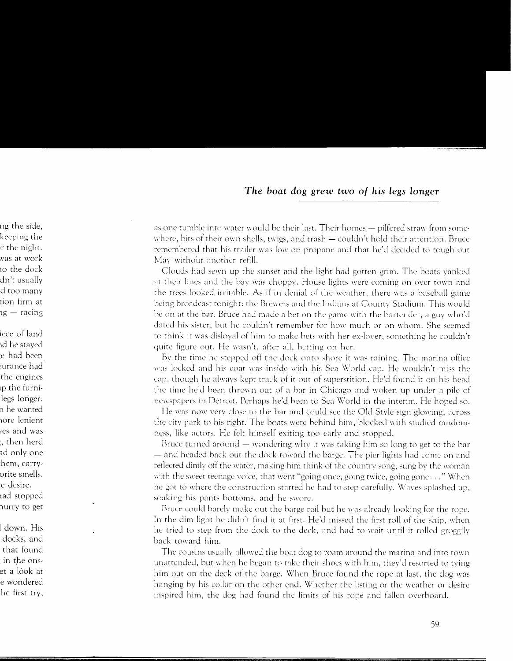as one tumble into water would be their last. Their homes - pilfered straw from somewhere, bits of their own shells, twigs, and trash  $-$  couldn't hold their attention. Bruce remembered that his trailer was low on propane and that he'd decided to tough out May without another refill.

Clouds had sewn up the sunset and the light had gotten grim. The boats yanked at their lines and the bay was choppy. House lights were coming on over town and the trees looked irritable. As if in denial of the weather, there was a baseball game being broadcast tonight: the Brewers and the Indians at Count\' Stadium. This would be on at the bar. Bruce had made a bet on the game with the bartender, a guy who'd dated his sister, hut he couldn't remember for how much or on whom. She seemed to think it was disloyal of him to make bets with her ex-lover, something he couldn't quite figure out. He wasn't, after all, betting on her.

Bv the time he stepped off the dock onto shore it was raining. The marina office was locked and his coat was inside with his Sea World cap. He wouldn't miss the cap, though he always kept track of it out of superstition. He'd found it on his head the time he'd been thrown out of a bar in Chicago and \\·oken up under a pile of newspapers in Detroit. Perhaps he'd been to Sea World in the interim. He hoped so.

He was now \'Cry close to the bar and could sec the Old Style sign glowing, across the citv park to his right. The boats were behind him, blocked with studied randomness, like actors. He felt himself exiting too early and stopped.

Bruce turned around  $-$  wondering why it was taking him so long to get to the bar - and headed back out the clock toward the barge. The pier lights had come on and reflected dimly off the water, making him think of the country song, sung by the woman with the sweet teenage voice, that went "going once, going twice, going gone ..." When he got to where the construction started he had to step carefully. Waves splashed up, soaking his pants bottoms, and he swore.

Bruce could barely make out the barge rail but he was already looking for the rope. In the dim light he didn't find it at first. He'd missed the first roll of the ship, \\'hen he tried to step from the dock to the deck, and had to wait until it rolled groggily back toward him.

The cousins usually allowed the boat dog to roam around the marina and into town unattended, but when he began to take their shoes with him, they'd resorted to tying him out on the deck of the barge. When Bruce found the rope at last, the dog was hanging by his collar on the other end. Whether the listing or the weather or desire inspired him, the dog had found the limits of his rope and fallen overboard.